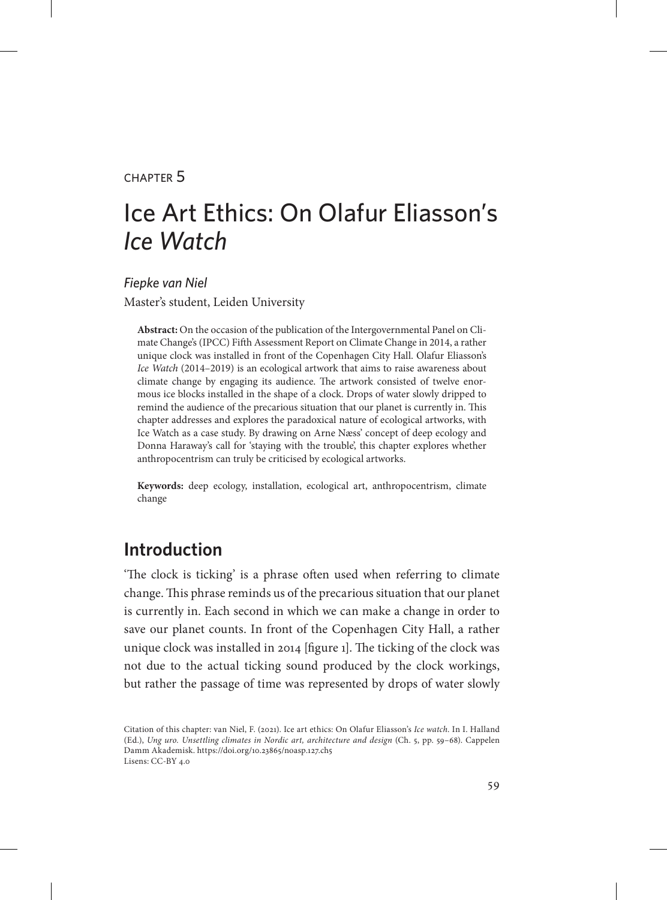#### chapter 5

# Ice Art Ethics: On Olafur Eliasson's *Ice Watch*

*Fiepke van Niel*  Master's student, Leiden University

**Abstract:** On the occasion of the publication of the Intergovernmental Panel on Climate Change's (IPCC) Fifth Assessment Report on Climate Change in 2014, a rather unique clock was installed in front of the Copenhagen City Hall. Olafur Eliasson's *Ice Watch* (2014–2019) is an ecological artwork that aims to raise awareness about climate change by engaging its audience. The artwork consisted of twelve enormous ice blocks installed in the shape of a clock. Drops of water slowly dripped to remind the audience of the precarious situation that our planet is currently in. This chapter addresses and explores the paradoxical nature of ecological artworks, with Ice Watch as a case study. By drawing on Arne Næss' concept of deep ecology and Donna Haraway's call for 'staying with the trouble', this chapter explores whether anthropocentrism can truly be criticised by ecological artworks.

**Keywords:** deep ecology, installation, ecological art, anthropocentrism, climate change

## **Introduction**

'The clock is ticking' is a phrase often used when referring to climate change. This phrase reminds us of the precarious situation that our planet is currently in. Each second in which we can make a change in order to save our planet counts. In front of the Copenhagen City Hall, a rather unique clock was installed in 2014 [figure 1]. The ticking of the clock was not due to the actual ticking sound produced by the clock workings, but rather the passage of time was represented by drops of water slowly

Citation of this chapter: van Niel, F. (2021). Ice art ethics: On Olafur Eliasson's *Ice watch*. In I. Halland (Ed.), *Ung uro. Unsettling climates in Nordic art, architecture and design* (Ch. 5, pp. 59–68). Cappelen Damm Akademisk. https://doi.org/10.23865/noasp.127.ch5 Lisens: CC-BY 4.0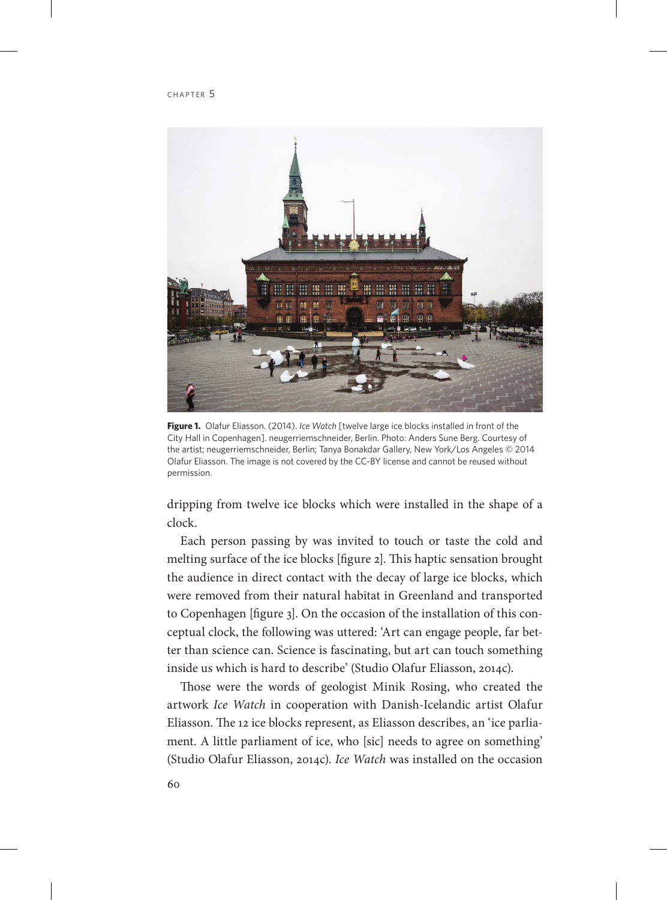

**Figure 1.** Olafur Eliasson. (2014). *Ice Watch* [twelve large ice blocks installed in front of the City Hall in Copenhagen]. neugerriemschneider, Berlin. Photo: Anders Sune Berg. Courtesy of the artist; neugerriemschneider, Berlin; Tanya Bonakdar Gallery, New York/Los Angeles © 2014 Olafur Eliasson. The image is not covered by the CC-BY license and cannot be reused without permission.

dripping from twelve ice blocks which were installed in the shape of a clock.

Each person passing by was invited to touch or taste the cold and melting surface of the ice blocks [figure 2]. This haptic sensation brought the audience in direct contact with the decay of large ice blocks, which were removed from their natural habitat in Greenland and transported to Copenhagen [figure 3]. On the occasion of the installation of this conceptual clock, the following was uttered: 'Art can engage people, far better than science can. Science is fascinating, but art can touch something inside us which is hard to describe' (Studio Olafur Eliasson, 2014c).

Those were the words of geologist Minik Rosing, who created the artwork *Ice Watch* in cooperation with Danish-Icelandic artist Olafur Eliasson. The 12 ice blocks represent, as Eliasson describes, an 'ice parliament. A little parliament of ice, who [sic] needs to agree on something' (Studio Olafur Eliasson, 2014c). *Ice Watch* was installed on the occasion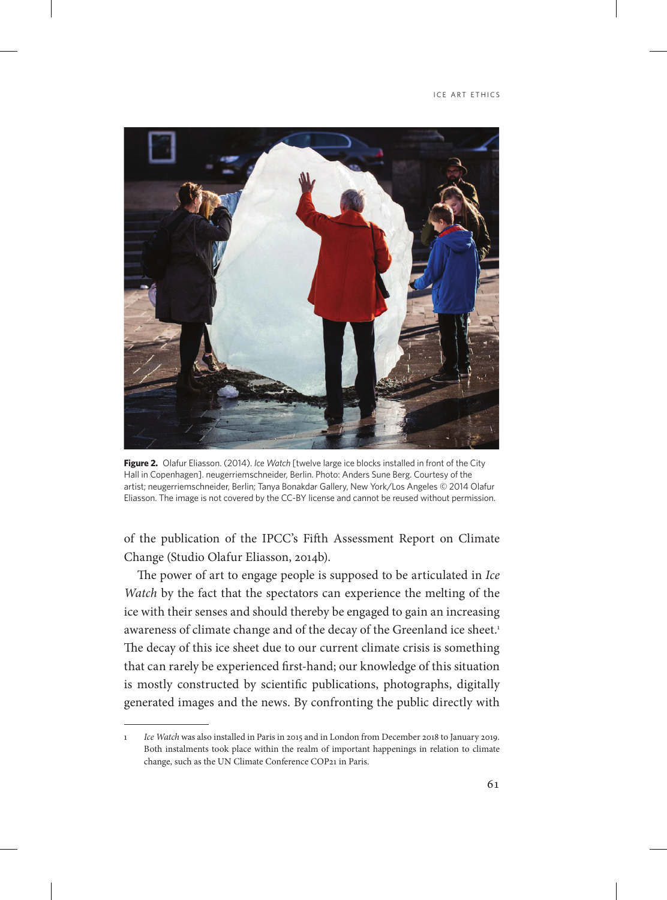

**Figure 2.** Olafur Eliasson. (2014). *Ice Watch* [twelve large ice blocks installed in front of the City Hall in Copenhagen]. neugerriemschneider, Berlin. Photo: Anders Sune Berg. Courtesy of the artist; neugerriemschneider, Berlin; Tanya Bonakdar Gallery, New York/Los Angeles © 2014 Olafur Eliasson. The image is not covered by the CC-BY license and cannot be reused without permission.

of the publication of the IPCC's Fifth Assessment Report on Climate Change (Studio Olafur Eliasson, 2014b).

The power of art to engage people is supposed to be articulated in *Ice Watch* by the fact that the spectators can experience the melting of the ice with their senses and should thereby be engaged to gain an increasing awareness of climate change and of the decay of the Greenland ice sheet.<sup>1</sup> The decay of this ice sheet due to our current climate crisis is something that can rarely be experienced first-hand; our knowledge of this situation is mostly constructed by scientific publications, photographs, digitally generated images and the news. By confronting the public directly with

<sup>1</sup> *Ice Watch* was also installed in Paris in 2015 and in London from December 2018 to January 2019. Both instalments took place within the realm of important happenings in relation to climate change, such as the UN Climate Conference COP21 in Paris.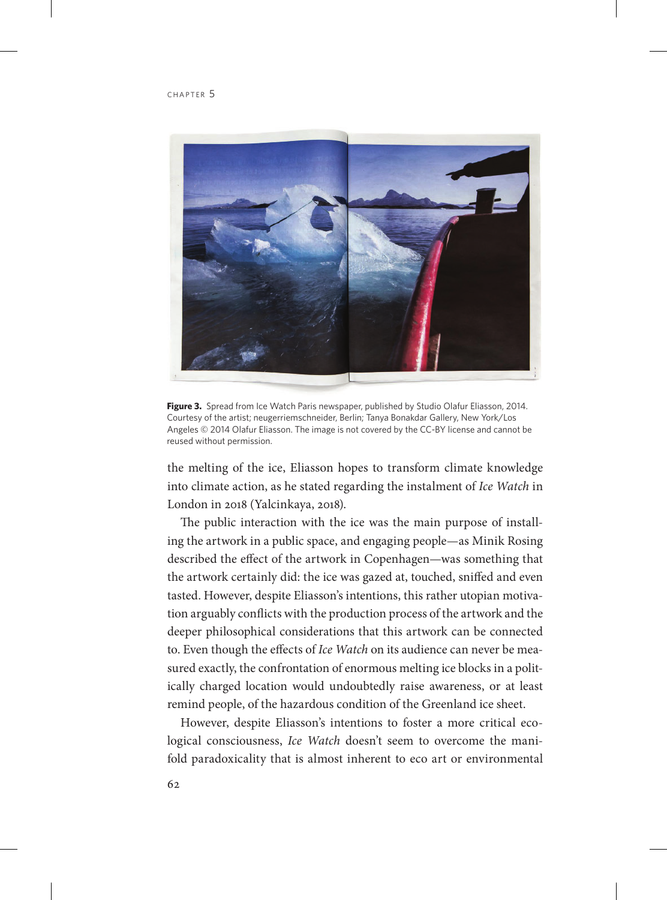

Figure 3. Spread from Ice Watch Paris newspaper, published by Studio Olafur Eliasson, 2014. Courtesy of the artist; neugerriemschneider, Berlin; Tanya Bonakdar Gallery, New York/Los Angeles © 2014 Olafur Eliasson. The image is not covered by the CC-BY license and cannot be reused without permission.

the melting of the ice, Eliasson hopes to transform climate knowledge into climate action, as he stated regarding the instalment of *Ice Watch* in London in 2018 (Yalcinkaya, 2018).

The public interaction with the ice was the main purpose of installing the artwork in a public space, and engaging people—as Minik Rosing described the effect of the artwork in Copenhagen—was something that the artwork certainly did: the ice was gazed at, touched, sniffed and even tasted. However, despite Eliasson's intentions, this rather utopian motivation arguably conflicts with the production process of the artwork and the deeper philosophical considerations that this artwork can be connected to. Even though the effects of *Ice Watch* on its audience can never be measured exactly, the confrontation of enormous melting ice blocks in a politically charged location would undoubtedly raise awareness, or at least remind people, of the hazardous condition of the Greenland ice sheet.

However, despite Eliasson's intentions to foster a more critical ecological consciousness, *Ice Watch* doesn't seem to overcome the manifold paradoxicality that is almost inherent to eco art or environmental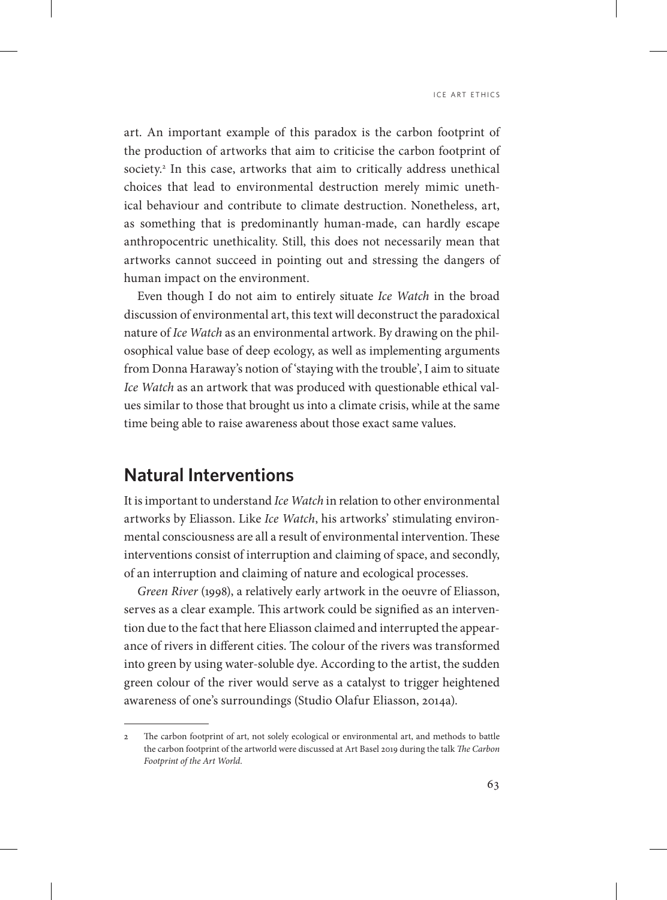art. An important example of this paradox is the carbon footprint of the production of artworks that aim to criticise the carbon footprint of society.2 In this case, artworks that aim to critically address unethical choices that lead to environmental destruction merely mimic unethical behaviour and contribute to climate destruction. Nonetheless, art, as something that is predominantly human-made, can hardly escape anthropocentric unethicality. Still, this does not necessarily mean that artworks cannot succeed in pointing out and stressing the dangers of human impact on the environment.

Even though I do not aim to entirely situate *Ice Watch* in the broad discussion of environmental art, this text will deconstruct the paradoxical nature of *Ice Watch* as an environmental artwork. By drawing on the philosophical value base of deep ecology, as well as implementing arguments from Donna Haraway's notion of 'staying with the trouble', I aim to situate *Ice Watch* as an artwork that was produced with questionable ethical values similar to those that brought us into a climate crisis, while at the same time being able to raise awareness about those exact same values.

### **Natural Interventions**

It is important to understand *Ice Watch* in relation to other environmental artworks by Eliasson. Like *Ice Watch*, his artworks' stimulating environmental consciousness are all a result of environmental intervention. These interventions consist of interruption and claiming of space, and secondly, of an interruption and claiming of nature and ecological processes.

*Green River* (1998), a relatively early artwork in the oeuvre of Eliasson, serves as a clear example. This artwork could be signified as an intervention due to the fact that here Eliasson claimed and interrupted the appearance of rivers in different cities. The colour of the rivers was transformed into green by using water-soluble dye. According to the artist, the sudden green colour of the river would serve as a catalyst to trigger heightened awareness of one's surroundings (Studio Olafur Eliasson, 2014a).

<sup>2</sup> The carbon footprint of art, not solely ecological or environmental art, and methods to battle the carbon footprint of the artworld were discussed at Art Basel 2019 during the talk *The Carbon Footprint of the Art World*.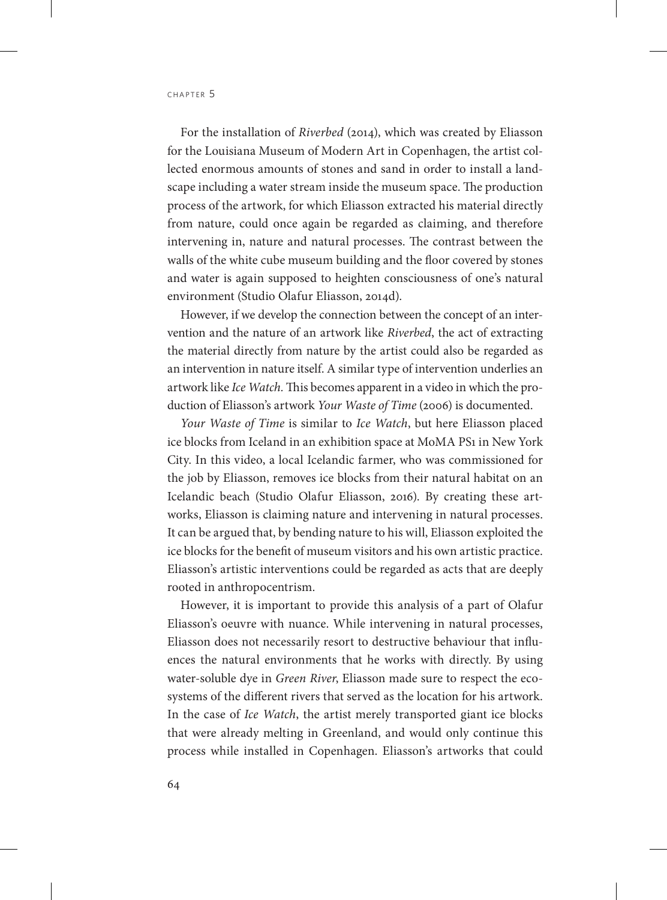For the installation of *Riverbed* (2014), which was created by Eliasson for the Louisiana Museum of Modern Art in Copenhagen, the artist collected enormous amounts of stones and sand in order to install a landscape including a water stream inside the museum space. The production process of the artwork, for which Eliasson extracted his material directly from nature, could once again be regarded as claiming, and therefore intervening in, nature and natural processes. The contrast between the walls of the white cube museum building and the floor covered by stones and water is again supposed to heighten consciousness of one's natural environment (Studio Olafur Eliasson, 2014d).

However, if we develop the connection between the concept of an intervention and the nature of an artwork like *Riverbed*, the act of extracting the material directly from nature by the artist could also be regarded as an intervention in nature itself. A similar type of intervention underlies an artwork like *Ice Watch.* This becomes apparent in a video in which the production of Eliasson's artwork *Your Waste of Time* (2006) is documented.

*Your Waste of Time* is similar to *Ice Watch*, but here Eliasson placed ice blocks from Iceland in an exhibition space at MoMA PS1 in New York City. In this video, a local Icelandic farmer, who was commissioned for the job by Eliasson, removes ice blocks from their natural habitat on an Icelandic beach (Studio Olafur Eliasson, 2016). By creating these artworks, Eliasson is claiming nature and intervening in natural processes. It can be argued that, by bending nature to his will, Eliasson exploited the ice blocks for the benefit of museum visitors and his own artistic practice. Eliasson's artistic interventions could be regarded as acts that are deeply rooted in anthropocentrism.

However, it is important to provide this analysis of a part of Olafur Eliasson's oeuvre with nuance. While intervening in natural processes, Eliasson does not necessarily resort to destructive behaviour that influences the natural environments that he works with directly. By using water-soluble dye in *Green River*, Eliasson made sure to respect the ecosystems of the different rivers that served as the location for his artwork. In the case of *Ice Watch*, the artist merely transported giant ice blocks that were already melting in Greenland, and would only continue this process while installed in Copenhagen. Eliasson's artworks that could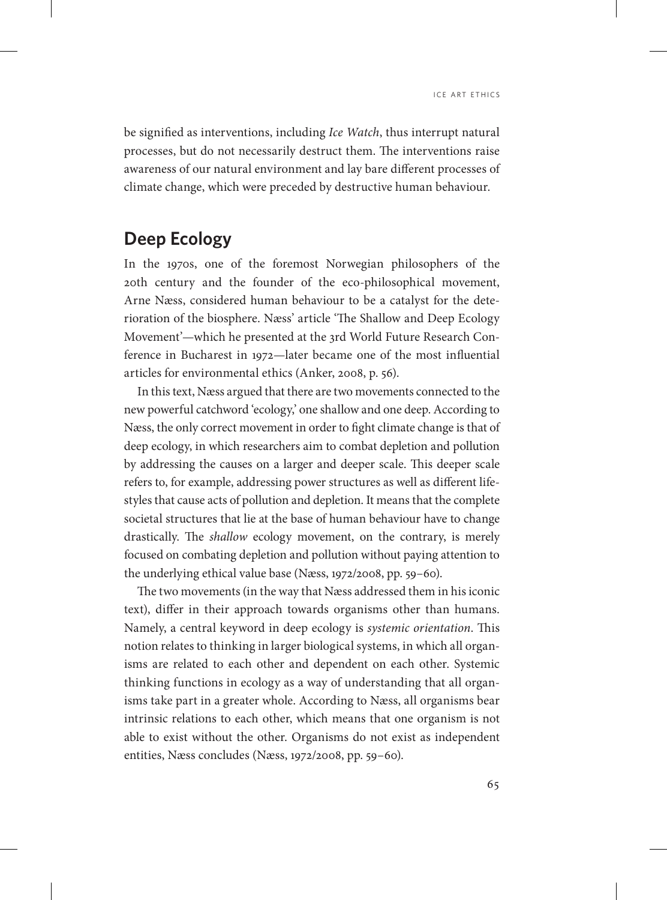be signified as interventions, including *Ice Watch*, thus interrupt natural processes, but do not necessarily destruct them. The interventions raise awareness of our natural environment and lay bare different processes of climate change, which were preceded by destructive human behaviour.

# **Deep Ecology**

In the 1970s, one of the foremost Norwegian philosophers of the 20th century and the founder of the eco-philosophical movement, Arne Næss, considered human behaviour to be a catalyst for the deterioration of the biosphere. Næss' article 'The Shallow and Deep Ecology Movement'—which he presented at the 3rd World Future Research Conference in Bucharest in 1972—later became one of the most influential articles for environmental ethics (Anker, 2008, p. 56).

In this text, Næss argued that there are two movements connected to the new powerful catchword 'ecology,' one shallow and one deep. According to Næss, the only correct movement in order to fight climate change is that of deep ecology, in which researchers aim to combat depletion and pollution by addressing the causes on a larger and deeper scale. This deeper scale refers to, for example, addressing power structures as well as different lifestyles that cause acts of pollution and depletion. It means that the complete societal structures that lie at the base of human behaviour have to change drastically. The *shallow* ecology movement, on the contrary, is merely focused on combating depletion and pollution without paying attention to the underlying ethical value base (Næss, 1972/2008, pp. 59–60).

The two movements (in the way that Næss addressed them in his iconic text), differ in their approach towards organisms other than humans. Namely, a central keyword in deep ecology is *systemic orientation*. This notion relates to thinking in larger biological systems, in which all organisms are related to each other and dependent on each other. Systemic thinking functions in ecology as a way of understanding that all organisms take part in a greater whole. According to Næss, all organisms bear intrinsic relations to each other, which means that one organism is not able to exist without the other. Organisms do not exist as independent entities, Næss concludes (Næss, 1972/2008, pp. 59–60).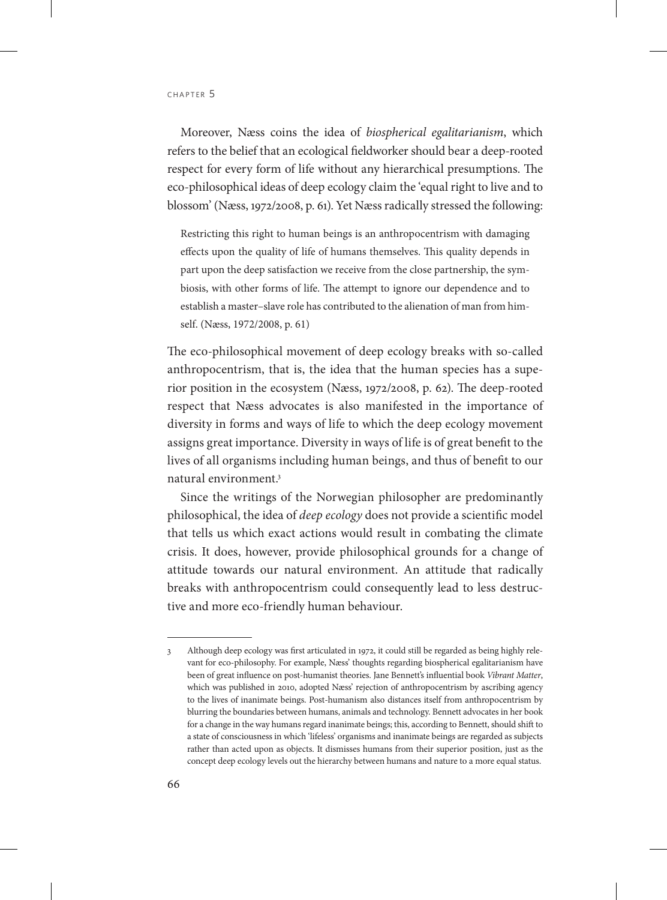Moreover, Næss coins the idea of *biospherical egalitarianism*, which refers to the belief that an ecological fieldworker should bear a deep-rooted respect for every form of life without any hierarchical presumptions. The eco-philosophical ideas of deep ecology claim the 'equal right to live and to blossom' (Næss, 1972/2008, p. 61). Yet Næss radically stressed the following:

Restricting this right to human beings is an anthropocentrism with damaging effects upon the quality of life of humans themselves. This quality depends in part upon the deep satisfaction we receive from the close partnership, the symbiosis, with other forms of life. The attempt to ignore our dependence and to establish a master–slave role has contributed to the alienation of man from himself. (Næss, 1972/2008, p. 61)

The eco-philosophical movement of deep ecology breaks with so-called anthropocentrism, that is, the idea that the human species has a superior position in the ecosystem (Næss, 1972/2008, p. 62). The deep-rooted respect that Næss advocates is also manifested in the importance of diversity in forms and ways of life to which the deep ecology movement assigns great importance. Diversity in ways of life is of great benefit to the lives of all organisms including human beings, and thus of benefit to our natural environment.3

Since the writings of the Norwegian philosopher are predominantly philosophical, the idea of *deep ecology* does not provide a scientific model that tells us which exact actions would result in combating the climate crisis. It does, however, provide philosophical grounds for a change of attitude towards our natural environment. An attitude that radically breaks with anthropocentrism could consequently lead to less destructive and more eco-friendly human behaviour.

<sup>3</sup> Although deep ecology was first articulated in 1972, it could still be regarded as being highly relevant for eco-philosophy. For example, Næss' thoughts regarding biospherical egalitarianism have been of great influence on post-humanist theories. Jane Bennett's influential book *Vibrant Matter*, which was published in 2010, adopted Næss' rejection of anthropocentrism by ascribing agency to the lives of inanimate beings. Post-humanism also distances itself from anthropocentrism by blurring the boundaries between humans, animals and technology. Bennett advocates in her book for a change in the way humans regard inanimate beings; this, according to Bennett, should shift to a state of consciousness in which 'lifeless' organisms and inanimate beings are regarded as subjects rather than acted upon as objects. It dismisses humans from their superior position, just as the concept deep ecology levels out the hierarchy between humans and nature to a more equal status.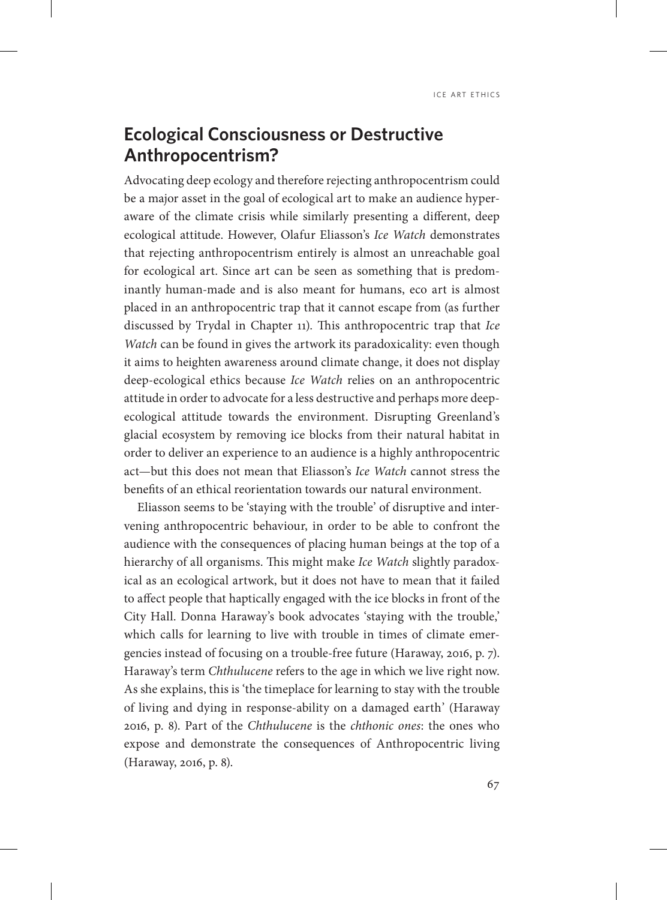# **Ecological Consciousness or Destructive Anthropocentrism?**

Advocating deep ecology and therefore rejecting anthropocentrism could be a major asset in the goal of ecological art to make an audience hyperaware of the climate crisis while similarly presenting a different, deep ecological attitude. However, Olafur Eliasson's *Ice Watch* demonstrates that rejecting anthropocentrism entirely is almost an unreachable goal for ecological art. Since art can be seen as something that is predominantly human-made and is also meant for humans, eco art is almost placed in an anthropocentric trap that it cannot escape from (as further discussed by Trydal in Chapter 11). This anthropocentric trap that *Ice Watch* can be found in gives the artwork its paradoxicality: even though it aims to heighten awareness around climate change, it does not display deep-ecological ethics because *Ice Watch* relies on an anthropocentric attitude in order to advocate for a less destructive and perhaps more deepecological attitude towards the environment. Disrupting Greenland's glacial ecosystem by removing ice blocks from their natural habitat in order to deliver an experience to an audience is a highly anthropocentric act—but this does not mean that Eliasson's *Ice Watch* cannot stress the benefits of an ethical reorientation towards our natural environment.

Eliasson seems to be 'staying with the trouble' of disruptive and intervening anthropocentric behaviour, in order to be able to confront the audience with the consequences of placing human beings at the top of a hierarchy of all organisms. This might make *Ice Watch* slightly paradoxical as an ecological artwork, but it does not have to mean that it failed to affect people that haptically engaged with the ice blocks in front of the City Hall. Donna Haraway's book advocates 'staying with the trouble,' which calls for learning to live with trouble in times of climate emergencies instead of focusing on a trouble-free future (Haraway, 2016, p. 7). Haraway's term *Chthulucene* refers to the age in which we live right now. As she explains, this is 'the timeplace for learning to stay with the trouble of living and dying in response-ability on a damaged earth' (Haraway 2016, p. 8). Part of the *Chthulucene* is the *chthonic ones*: the ones who expose and demonstrate the consequences of Anthropocentric living (Haraway, 2016, p. 8).